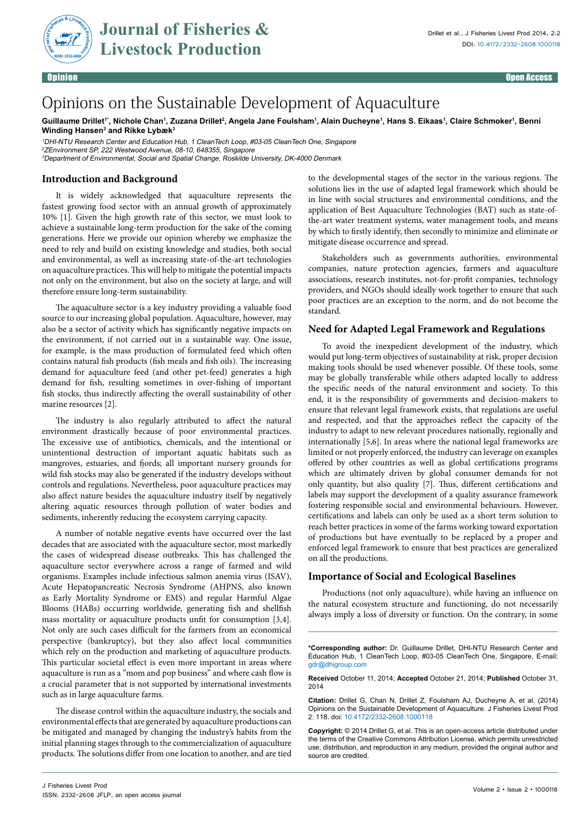

Opinion Open Access

# Opinions on the Sustainable Development of Aquaculture

Guillaume Drillet'', Nichole Chan', Zuzana Drillet<sup>2</sup>, Angela Jane Foulsham', Alain Ducheyne', Hans S. Eikaas', Claire Schmoker', Benni **Winding Hansen3 and Rikke Lybæk3**

<sup>1</sup>DHI-NTU Research Center and Education Hub, 1 CleanTech Loop, #03-05 CleanTech One, Singapore <sup>2</sup>ZEnvironment SP, 222 Westwood Avenue, 08-10, 648355, Singapore <sup>3</sup>Department of Environmental, Social and Spatial Change, Roskilde University, DK-4000 Denmark

## **Introduction and Background**

It is widely acknowledged that aquaculture represents the fastest growing food sector with an annual growth of approximately 10% [1]. Given the high growth rate of this sector, we must look to achieve a sustainable long-term production for the sake of the coming generations. Here we provide our opinion whereby we emphasize the need to rely and build on existing knowledge and studies, both social and environmental, as well as increasing state-of-the-art technologies on aquaculture practices. This will help to mitigate the potential impacts not only on the environment, but also on the society at large, and will therefore ensure long-term sustainability.

The aquaculture sector is a key industry providing a valuable food source to our increasing global population. Aquaculture, however, may also be a sector of activity which has significantly negative impacts on the environment, if not carried out in a sustainable way. One issue, for example, is the mass production of formulated feed which often contains natural fish products (fish meals and fish oils). The increasing demand for aquaculture feed (and other pet-feed) generates a high demand for fish, resulting sometimes in over-fishing of important fish stocks, thus indirectly affecting the overall sustainability of other marine resources [2].

The industry is also regularly attributed to affect the natural environment drastically because of poor environmental practices. The excessive use of antibiotics, chemicals, and the intentional or unintentional destruction of important aquatic habitats such as mangroves, estuaries, and fjords; all important nursery grounds for wild fish stocks may also be generated if the industry develops without controls and regulations. Nevertheless, poor aquaculture practices may also affect nature besides the aquaculture industry itself by negatively altering aquatic resources through pollution of water bodies and sediments, inherently reducing the ecosystem carrying capacity.

A number of notable negative events have occurred over the last decades that are associated with the aquaculture sector, most markedly the cases of widespread disease outbreaks. This has challenged the aquaculture sector everywhere across a range of farmed and wild organisms. Examples include infectious salmon anemia virus (ISAV), Acute Hepatopancreatic Necrosis Syndrome (AHPNS, also known as Early Mortality Syndrome or EMS) and regular Harmful Algae Blooms (HABs) occurring worldwide, generating fish and shellfish mass mortality or aquaculture products unfit for consumption [3,4]. Not only are such cases difficult for the farmers from an economical perspective (bankruptcy), but they also affect local communities which rely on the production and marketing of aquaculture products. This particular societal effect is even more important in areas where aquaculture is run as a "mom and pop business" and where cash flow is a crucial parameter that is not supported by international investments such as in large aquaculture farms.

The disease control within the aquaculture industry, the socials and environmental effects that are generated by aquaculture productions can be mitigated and managed by changing the industry's habits from the initial planning stages through to the commercialization of aquaculture products. The solutions differ from one location to another, and are tied to the developmental stages of the sector in the various regions. The solutions lies in the use of adapted legal framework which should be in line with social structures and environmental conditions, and the application of Best Aquaculture Technologies (BAT) such as state-ofthe-art water treatment systems, water management tools, and means by which to firstly identify, then secondly to minimize and eliminate or mitigate disease occurrence and spread.

Stakeholders such as governments authorities, environmental companies, nature protection agencies, farmers and aquaculture associations, research institutes, not-for-profit companies, technology providers, and NGOs should ideally work together to ensure that such poor practices are an exception to the norm, and do not become the standard.

## **Need for Adapted Legal Framework and Regulations**

To avoid the inexpedient development of the industry, which would put long-term objectives of sustainability at risk, proper decision making tools should be used whenever possible. Of these tools, some may be globally transferable while others adapted locally to address the specific needs of the natural environment and society. To this end, it is the responsibility of governments and decision-makers to ensure that relevant legal framework exists, that regulations are useful and respected, and that the approaches reflect the capacity of the industry to adapt to new relevant procedures nationally, regionally and internationally [5,6]. In areas where the national legal frameworks are limited or not properly enforced, the industry can leverage on examples offered by other countries as well as global certifications programs which are ultimately driven by global consumer demands for not only quantity, but also quality [7]. Thus, different certifications and labels may support the development of a quality assurance framework fostering responsible social and environmental behaviours. However, certifications and labels can only be used as a short term solution to reach better practices in some of the farms working toward exportation of productions but have eventually to be replaced by a proper and enforced legal framework to ensure that best practices are generalized on all the productions.

## **Importance of Social and Ecological Baselines**

Productions (not only aquaculture), while having an influence on the natural ecosystem structure and functioning, do not necessarily always imply a loss of diversity or function. On the contrary, in some

**\*Corresponding author:** Dr. Guillaume Drillet, DHI-NTU Research Center and Education Hub, 1 CleanTech Loop, #03-05 CleanTech One, Singapore, E-mail: gdr@dhigroup.com

**Received** October 11, 2014; **Accepted** October 21, 2014; **Published** October 31, 2014

**Citation:** Drillet G, Chan N, Drillet Z, Foulsham AJ, Ducheyne A, et al. (2014) Opinions on the Sustainable Development of Aquaculture. J Fisheries Livest Prod 2: 118. doi: 10.4172/2332-2608.1000118

**Copyright:** © 2014 Drillet G, et al. This is an open-access article distributed under the terms of the Creative Commons Attribution License, which permits unrestricted use, distribution, and reproduction in any medium, provided the original author and source are credited.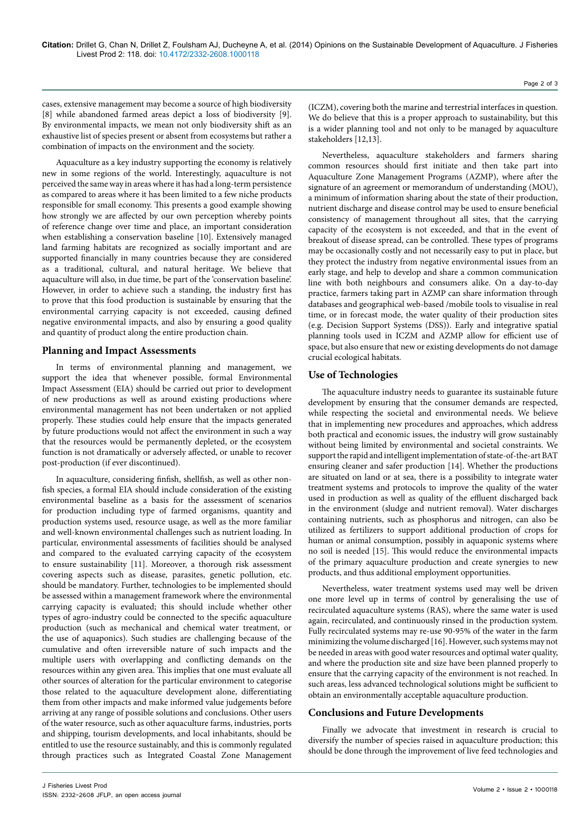cases, extensive management may become a source of high biodiversity [8] while abandoned farmed areas depict a loss of biodiversity [9]. By environmental impacts, we mean not only biodiversity shift as an exhaustive list of species present or absent from ecosystems but rather a combination of impacts on the environment and the society.

Aquaculture as a key industry supporting the economy is relatively new in some regions of the world. Interestingly, aquaculture is not perceived the same way in areas where it has had a long-term persistence as compared to areas where it has been limited to a few niche products responsible for small economy. This presents a good example showing how strongly we are affected by our own perception whereby points of reference change over time and place, an important consideration when establishing a conservation baseline [10]. Extensively managed land farming habitats are recognized as socially important and are supported financially in many countries because they are considered as a traditional, cultural, and natural heritage. We believe that aquaculture will also, in due time, be part of the 'conservation baseline'. However, in order to achieve such a standing, the industry first has to prove that this food production is sustainable by ensuring that the environmental carrying capacity is not exceeded, causing defined negative environmental impacts, and also by ensuring a good quality and quantity of product along the entire production chain.

#### **Planning and Impact Assessments**

In terms of environmental planning and management, we support the idea that whenever possible, formal Environmental Impact Assessment (EIA) should be carried out prior to development of new productions as well as around existing productions where environmental management has not been undertaken or not applied properly. These studies could help ensure that the impacts generated by future productions would not affect the environment in such a way that the resources would be permanently depleted, or the ecosystem function is not dramatically or adversely affected, or unable to recover post-production (if ever discontinued).

In aquaculture, considering finfish, shellfish, as well as other nonfish species, a formal EIA should include consideration of the existing environmental baseline as a basis for the assessment of scenarios for production including type of farmed organisms, quantity and production systems used, resource usage, as well as the more familiar and well-known environmental challenges such as nutrient loading. In particular, environmental assessments of facilities should be analysed and compared to the evaluated carrying capacity of the ecosystem to ensure sustainability [11]. Moreover, a thorough risk assessment covering aspects such as disease, parasites, genetic pollution, etc. should be mandatory. Further, technologies to be implemented should be assessed within a management framework where the environmental carrying capacity is evaluated; this should include whether other types of agro-industry could be connected to the specific aquaculture production (such as mechanical and chemical water treatment, or the use of aquaponics). Such studies are challenging because of the cumulative and often irreversible nature of such impacts and the multiple users with overlapping and conflicting demands on the resources within any given area. This implies that one must evaluate all other sources of alteration for the particular environment to categorise those related to the aquaculture development alone, differentiating them from other impacts and make informed value judgements before arriving at any range of possible solutions and conclusions. Other users of the water resource, such as other aquaculture farms, industries, ports and shipping, tourism developments, and local inhabitants, should be entitled to use the resource sustainably, and this is commonly regulated through practices such as Integrated Coastal Zone Management

(ICZM), covering both the marine and terrestrial interfaces in question. We do believe that this is a proper approach to sustainability, but this is a wider planning tool and not only to be managed by aquaculture stakeholders [12,13].

Nevertheless, aquaculture stakeholders and farmers sharing common resources should first initiate and then take part into Aquaculture Zone Management Programs (AZMP), where after the signature of an agreement or memorandum of understanding (MOU), a minimum of information sharing about the state of their production, nutrient discharge and disease control may be used to ensure beneficial consistency of management throughout all sites, that the carrying capacity of the ecosystem is not exceeded, and that in the event of breakout of disease spread, can be controlled. These types of programs may be occasionally costly and not necessarily easy to put in place, but they protect the industry from negative environmental issues from an early stage, and help to develop and share a common communication line with both neighbours and consumers alike. On a day-to-day practice, farmers taking part in AZMP can share information through databases and geographical web-based /mobile tools to visualise in real time, or in forecast mode, the water quality of their production sites (e.g. Decision Support Systems (DSS)). Early and integrative spatial planning tools used in ICZM and AZMP allow for efficient use of space, but also ensure that new or existing developments do not damage crucial ecological habitats.

#### **Use of Technologies**

The aquaculture industry needs to guarantee its sustainable future development by ensuring that the consumer demands are respected, while respecting the societal and environmental needs. We believe that in implementing new procedures and approaches, which address both practical and economic issues, the industry will grow sustainably without being limited by environmental and societal constraints. We support the rapid and intelligent implementation of state-of-the-art BAT ensuring cleaner and safer production [14]. Whether the productions are situated on land or at sea, there is a possibility to integrate water treatment systems and protocols to improve the quality of the water used in production as well as quality of the effluent discharged back in the environment (sludge and nutrient removal). Water discharges containing nutrients, such as phosphorus and nitrogen, can also be utilized as fertilizers to support additional production of crops for human or animal consumption, possibly in aquaponic systems where no soil is needed [15]. This would reduce the environmental impacts of the primary aquaculture production and create synergies to new products, and thus additional employment opportunities.

Nevertheless, water treatment systems used may well be driven one more level up in terms of control by generalising the use of recirculated aquaculture systems (RAS), where the same water is used again, recirculated, and continuously rinsed in the production system. Fully recirculated systems may re-use 90-95% of the water in the farm minimizing the volume discharged [16]. However, such systems may not be needed in areas with good water resources and optimal water quality, and where the production site and size have been planned properly to ensure that the carrying capacity of the environment is not reached. In such areas, less advanced technological solutions might be sufficient to obtain an environmentally acceptable aquaculture production.

#### **Conclusions and Future Developments**

Finally we advocate that investment in research is crucial to diversify the number of species raised in aquaculture production; this should be done through the improvement of live feed technologies and